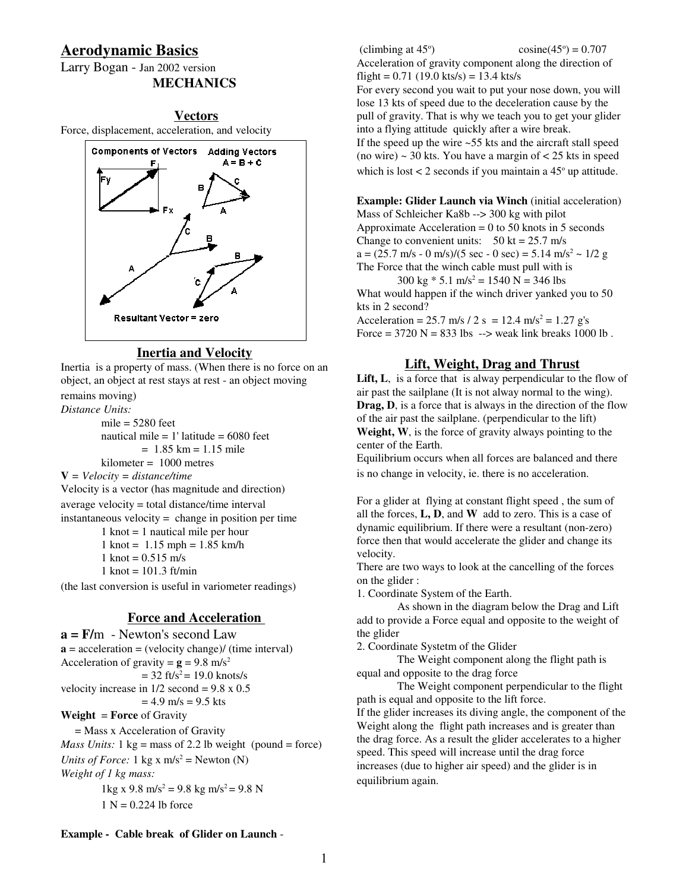# **Aerodynamic Basics**

Larry Bogan - Jan 2002 version **MECHANICS**

## **Vectors**

Force, displacement, acceleration, and velocity



## **Inertia and Velocity**

Inertia is a property of mass. (When there is no force on an object, an object at rest stays at rest - an object moving remains moving)

*Distance Units:*

mile  $= 5280$  feet nautical mile  $= 1$ ' latitude  $= 6080$  feet  $= 1.85$  km  $= 1.15$  mile kilometer = 1000 metres

**V** *= Velocity = distance/time*

Velocity is a vector (has magnitude and direction)

average velocity = total distance/time interval

instantaneous velocity = change in position per time

1 knot = 1 nautical mile per hour

 $1 \text{ knot} = 1.15 \text{ mph} = 1.85 \text{ km/h}$ 

1 knot =  $0.515$  m/s

1 knot =  $101.3$  ft/min

(the last conversion is useful in variometer readings)

# **Force and Acceleration**

**a = F/**m - Newton's second Law  $\mathbf{a} = \text{acceleration} = (\text{velocity change})/(\text{time interval})$ Acceleration of gravity =  $g = 9.8$  m/s<sup>2</sup>  $= 32$  ft/s<sup>2</sup>  $= 19.0$  knots/s velocity increase in  $1/2$  second = 9.8 x 0.5  $= 4.9$  m/s  $= 9.5$  kts **Weight** = **Force** of Gravity = Mass x Acceleration of Gravity *Mass Units:*  $1 \text{ kg} = \text{mass of } 2.2 \text{ lb weight (pound} = \text{force})$ *Units of Force:* 1 kg x  $m/s^2$  = Newton (N) *Weight of 1 kg mass:*  $1 \text{kg x } 9.8 \text{ m/s}^2 = 9.8 \text{ kg m/s}^2 = 9.8 \text{ N}$  $1 N = 0.224$  lb force

(climbing at 45 o  $\cosine(45^\circ) = 0.707$ Acceleration of gravity component along the direction of flight =  $0.71$  (19.0 kts/s) = 13.4 kts/s For every second you wait to put your nose down, you will lose 13 kts of speed due to the deceleration cause by the pull of gravity. That is why we teach you to get your glider into a flying attitude quickly after a wire break. If the speed up the wire  $\sim$  55 kts and the aircraft stall speed (no wire)  $\sim$  30 kts. You have a margin of  $\lt$  25 kts in speed which is lost  $< 2$  seconds if you maintain a  $45^\circ$  up attitude.

**Example: Glider Launch via Winch** (initial acceleration) Mass of Schleicher Ka8b --> 300 kg with pilot Approximate Acceleration  $= 0$  to 50 knots in 5 seconds Change to convenient units:  $50 \text{ kt} = 25.7 \text{ m/s}$  $a = (25.7 \text{ m/s} - 0 \text{ m/s})/(5 \text{ sec} - 0 \text{ sec}) = 5.14 \text{ m/s}^2 \sim 1/2 g$ The Force that the winch cable must pull with is

 $300 \text{ kg} \cdot 5.1 \text{ m/s}^2 = 1540 \text{ N} = 346 \text{ lbs}$ What would happen if the winch driver yanked you to 50 kts in 2 second?

Acceleration = 25.7 m/s / 2 s = 12.4 m/s<sup>2</sup> = 1.27 g's Force =  $3720$  N =  $833$  lbs  $\rightarrow$  weak link breaks 1000 lb.

# **Lift, Weight, Drag and Thrust**

**Lift, L**, is a force that is alway perpendicular to the flow of air past the sailplane (It is not alway normal to the wing). **Drag, D**, is a force that is always in the direction of the flow of the air past the sailplane. (perpendicular to the lift) **Weight, W**, is the force of gravity always pointing to the center of the Earth.

Equilibrium occurs when all forces are balanced and there is no change in velocity, ie. there is no acceleration.

For a glider at flying at constant flight speed , the sum of all the forces, **L, D**, and **W** add to zero. This is a case of dynamic equilibrium. If there were a resultant (non-zero) force then that would accelerate the glider and change its velocity.

There are two ways to look at the cancelling of the forces on the glider :

1. Coordinate System of the Earth.

As shown in the diagram below the Drag and Lift add to provide a Force equal and opposite to the weight of the glider

2. Coordinate Systetm of the Glider

The Weight component along the flight path is equal and opposite to the drag force

The Weight component perpendicular to the flight path is equal and opposite to the lift force.

If the glider increases its diving angle, the component of the Weight along the flight path increases and is greater than the drag force. As a result the glider accelerates to a higher speed. This speed will increase until the drag force increases (due to higher air speed) and the glider is in equilibrium again.

#### **Example - Cable break of Glider on Launch** -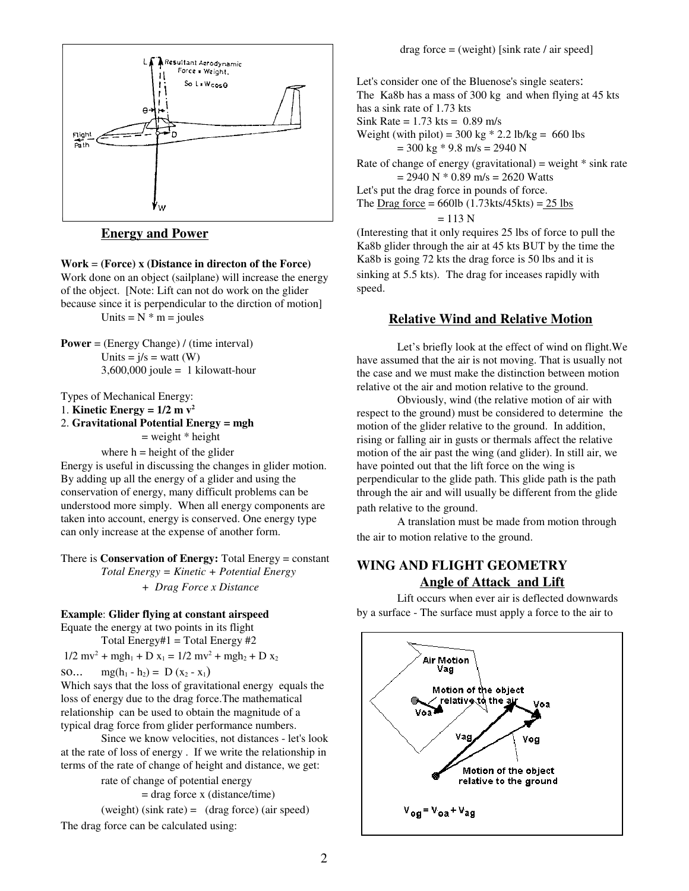

### **Energy and Power**

#### **Work** = **(Force) x (Distance in directon of the Force)**

Work done on an object (sailplane) will increase the energy of the object. [Note: Lift can not do work on the glider because since it is perpendicular to the dirction of motion] Units =  $N^*$  m = joules

**Power** = (Energy Change) / (time interval) Units  $= i/s = w$ att (W)  $3,600,000$  joule = 1 kilowatt-hour

Types of Mechanical Energy:

1. **Kinetic Energy** =  $1/2$  **m**  $v^2$ 

2. **Gravitational Potential Energy = mgh**  $=$  weight  $*$  height where  $h =$  height of the glider

Energy is useful in discussing the changes in glider motion. By adding up all the energy of a glider and using the conservation of energy, many difficult problems can be understood more simply. When all energy components are taken into account, energy is conserved. One energy type can only increase at the expense of another form.

There is **Conservation of Energy:** Total Energy = constant *Total Energy = Kinetic + Potential Energy + Drag Force x Distance*

#### **Example**: **Glider flying at constant airspeed**

Equate the energy at two points in its flight Total Energy#1 = Total Energy #2

 $1/2$  mv<sup>2</sup> + mgh<sub>1</sub> + D x<sub>1</sub> =  $1/2$  mv<sup>2</sup> + mgh<sub>2</sub> + D x<sub>2</sub>

so...  $mg(h_1 - h_2) = D(x_2 - x_1)$ 

Which says that the loss of gravitational energy equals the loss of energy due to the drag force.The mathematical relationship can be used to obtain the magnitude of a typical drag force from glider performance numbers.

Since we know velocities, not distances - let's look at the rate of loss of energy . If we write the relationship in terms of the rate of change of height and distance, we get:

> rate of change of potential energy  $=$  drag force x (distance/time)

(weight) (sink rate) = (drag force) (air speed)

The drag force can be calculated using:

Let's consider one of the Bluenose's single seaters: The Ka8b has a mass of 300 kg and when flying at 45 kts has a sink rate of 1.73 kts Sink Rate =  $1.73$  kts =  $0.89$  m/s Weight (with pilot) =  $300 \text{ kg} * 2.2 \text{ lb/kg} = 660 \text{ lbs}$  $= 300 \text{ kg} * 9.8 \text{ m/s} = 2940 \text{ N}$ Rate of change of energy (gravitational) = weight  $*$  sink rate  $= 2940 \text{ N} * 0.89 \text{ m/s} = 2620 \text{ Watts}$ Let's put the drag force in pounds of force. The  $\text{Diag force} = 660 \text{lb} (1.73 \text{kts} / 45 \text{kts}) = 25 \text{ lbs}$  $= 113 N$ (Interesting that it only requires 25 lbs of force to pull the

Ka8b glider through the air at 45 kts BUT by the time the Ka8b is going 72 kts the drag force is 50 lbs and it is sinking at 5.5 kts). The drag for inceases rapidly with speed.

### **Relative Wind and Relative Motion**

Let's briefly look at the effect of wind on flight.We have assumed that the air is not moving. That is usually not the case and we must make the distinction between motion relative ot the air and motion relative to the ground.

Obviously, wind (the relative motion of air with respect to the ground) must be considered to determine the motion of the glider relative to the ground. In addition, rising or falling air in gusts or thermals affect the relative motion of the air past the wing (and glider). In still air, we have pointed out that the lift force on the wing is perpendicular to the glide path. This glide path is the path through the air and will usually be different from the glide path relative to the ground.

A translation must be made from motion through the air to motion relative to the ground.

# **WING AND FLIGHT GEOMETRY Angle of Attack and Lift**

Lift occurs when ever air is deflected downwards by a surface - The surface must apply a force to the air to

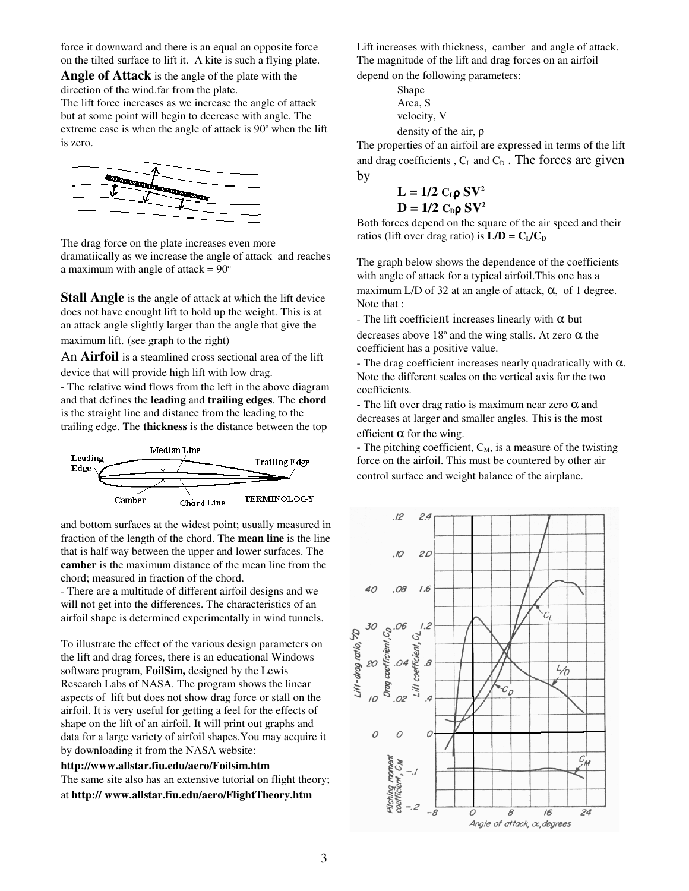force it downward and there is an equal an opposite force on the tilted surface to lift it. A kite is such a flying plate.

**Angle of Attack** is the angle of the plate with the direction of the wind.far from the plate.

The lift force increases as we increase the angle of attack but at some point will begin to decrease with angle. The extreme case is when the angle of attack is 90° when the lift is zero.



The drag force on the plate increases even more dramatiically as we increase the angle of attack and reaches a maximum with angle of attack  $= 90^\circ$ 

**Stall Angle** is the angle of attack at which the lift device does not have enought lift to hold up the weight. This is at an attack angle slightly larger than the angle that give the maximum lift. (see graph to the right)

An **Airfoil** is a steamlined cross sectional area of the lift device that will provide high lift with low drag.

- The relative wind flows from the left in the above diagram and that defines the **leading** and **trailing edges**. The **chord** is the straight line and distance from the leading to the trailing edge. The **thickness** is the distance between the top



and bottom surfaces at the widest point; usually measured in fraction of the length of the chord. The **mean line** is the line that is half way between the upper and lower surfaces. The **camber** is the maximum distance of the mean line from the chord; measured in fraction of the chord.

- There are a multitude of different airfoil designs and we will not get into the differences. The characteristics of an airfoil shape is determined experimentally in wind tunnels.

To illustrate the effect of the various design parameters on the lift and drag forces, there is an educational Windows software program, **FoilSim,** designed by the Lewis Research Labs of NASA. The program shows the linear aspects of lift but does not show drag force or stall on the airfoil. It is very useful for getting a feel for the effects of shape on the lift of an airfoil. It will print out graphs and data for a large variety of airfoil shapes.You may acquire it by downloading it from the NASA website:

**http://www.allstar.fiu.edu/aero/Foilsim.htm** The same site also has an extensive tutorial on flight theory; at **http:// www.allstar.fiu.edu/aero/FlightTheory.htm**

Lift increases with thickness, camber and angle of attack. The magnitude of the lift and drag forces on an airfoil depend on the following parameters:

> Shape Area, S velocity, V density of the air, ρ

The properties of an airfoil are expressed in terms of the lift and drag coefficients ,  $C_L$  and  $C_D$ . The forces are given by

$$
L = 1/2 CL \rho SV2
$$
  

$$
D = 1/2 CD \rho SV2
$$

Both forces depend on the square of the air speed and their ratios (lift over drag ratio) is  $L/D = C_I/C_D$ 

The graph below shows the dependence of the coefficients with angle of attack for a typical airfoil.This one has a maximum L/D of 32 at an angle of attack,  $\alpha$ , of 1 degree. Note that :

- The lift coefficient increases linearly with  $\alpha$  but decreases above  $18^{\circ}$  and the wing stalls. At zero  $\alpha$  the coefficient has a positive value.

**-** The drag coefficient increases nearly quadratically with α. Note the different scales on the vertical axis for the two coefficients.

**-** The lift over drag ratio is maximum near zero α and decreases at larger and smaller angles. This is the most efficient  $\alpha$  for the wing.

 $\blacksquare$  The pitching coefficient,  $C_M$ , is a measure of the twisting force on the airfoil. This must be countered by other air control surface and weight balance of the airplane.

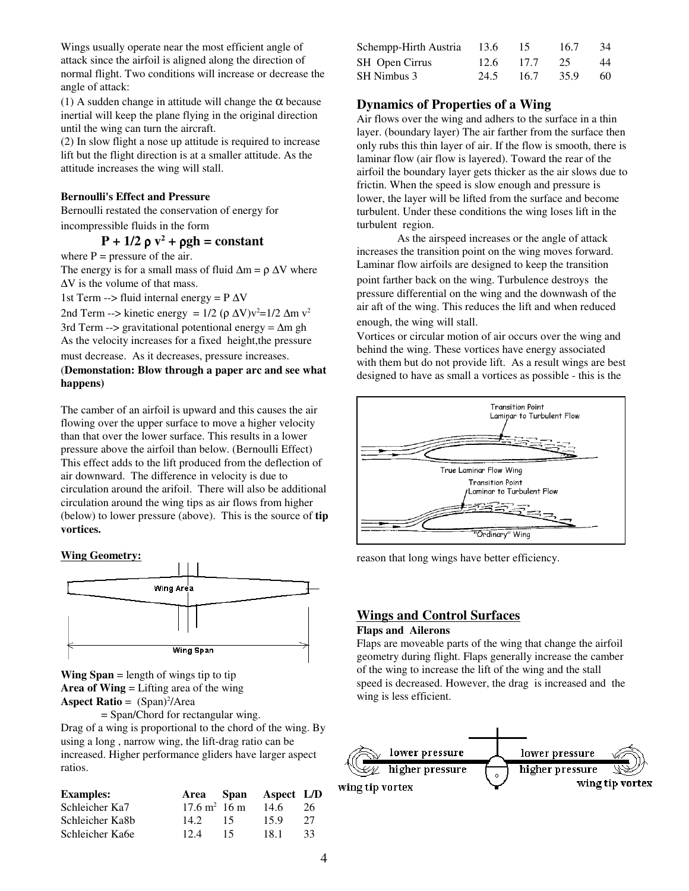Wings usually operate near the most efficient angle of attack since the airfoil is aligned along the direction of normal flight. Two conditions will increase or decrease the angle of attack:

(1) A sudden change in attitude will change the  $\alpha$  because inertial will keep the plane flying in the original direction until the wing can turn the aircraft.

(2) In slow flight a nose up attitude is required to increase lift but the flight direction is at a smaller attitude. As the attitude increases the wing will stall.

### **Bernoulli's Effect and Pressure**

Bernoulli restated the conservation of energy for incompressible fluids in the form

# $P + 1/2 \rho v^2 + \rho gh = constant$

where  $P =$  pressure of the air.

The energy is for a small mass of fluid  $\Delta m = \rho \Delta V$  where ∆V is the volume of that mass.

1st Term --> fluid internal energy =  $P \Delta V$ 

2nd Term --> kinetic energy =  $1/2$  ( $\rho \Delta V$ ) $v^2$ = $1/2 \Delta m v^2$ 3rd Term --> gravitational potentional energy =  $\Delta m$  gh As the velocity increases for a fixed height,the pressure

must decrease. As it decreases, pressure increases.

### (**Demonstation: Blow through a paper arc and see what happens)**

The camber of an airfoil is upward and this causes the air flowing over the upper surface to move a higher velocity than that over the lower surface. This results in a lower pressure above the airfoil than below. (Bernoulli Effect) This effect adds to the lift produced from the deflection of air downward. The difference in velocity is due to circulation around the arifoil. There will also be additional circulation around the wing tips as air flows from higher (below) to lower pressure (above). This is the source of **tip vortices.**

#### **Wing Geometry:**



**Wing Span** = length of wings tip to tip **Area of Wing** = Lifting area of the wing **Aspect Ratio** = (Span) 2 /Area

= Span/Chord for rectangular wing. Drag of a wing is proportional to the chord of the wing. By using a long , narrow wing, the lift-drag ratio can be increased. Higher performance gliders have larger aspect ratios.

| <b>Examples:</b> |                         |    | Area Span Aspect L/D |     |
|------------------|-------------------------|----|----------------------|-----|
| Schleicher Ka7   | $17.6 \text{ m}^2$ 16 m |    | 14.6                 | 26. |
| Schleicher Ka8b  | 14.2                    | 15 | 15.9                 | 27  |
| Schleicher Ka6e  | 12.4                    | 15 | 181                  | 33  |

| Schempp-Hirth Austria | 13.6 | 15   | 16.7 | 34  |
|-----------------------|------|------|------|-----|
| SH Open Cirrus        | 12.6 | 17.7 | -25  | 44  |
| SH Nimbus 3           | 24.5 | 16.7 | 35.9 | 60. |

## **Dynamics of Properties of a Wing**

Air flows over the wing and adhers to the surface in a thin layer. (boundary layer) The air farther from the surface then only rubs this thin layer of air. If the flow is smooth, there is laminar flow (air flow is layered). Toward the rear of the airfoil the boundary layer gets thicker as the air slows due to frictin. When the speed is slow enough and pressure is lower, the layer will be lifted from the surface and become turbulent. Under these conditions the wing loses lift in the turbulent region.

As the airspeed increases or the angle of attack increases the transition point on the wing moves forward. Laminar flow airfoils are designed to keep the transition point farther back on the wing. Turbulence destroys the pressure differential on the wing and the downwash of the air aft of the wing. This reduces the lift and when reduced enough, the wing will stall.

Vortices or circular motion of air occurs over the wing and behind the wing. These vortices have energy associated with them but do not provide lift. As a result wings are best designed to have as small a vortices as possible - this is the



reason that long wings have better efficiency.

### **Wings and Control Surfaces Flaps and Ailerons**

Flaps are moveable parts of the wing that change the airfoil geometry during flight. Flaps generally increase the camber of the wing to increase the lift of the wing and the stall speed is decreased. However, the drag is increased and the wing is less efficient.

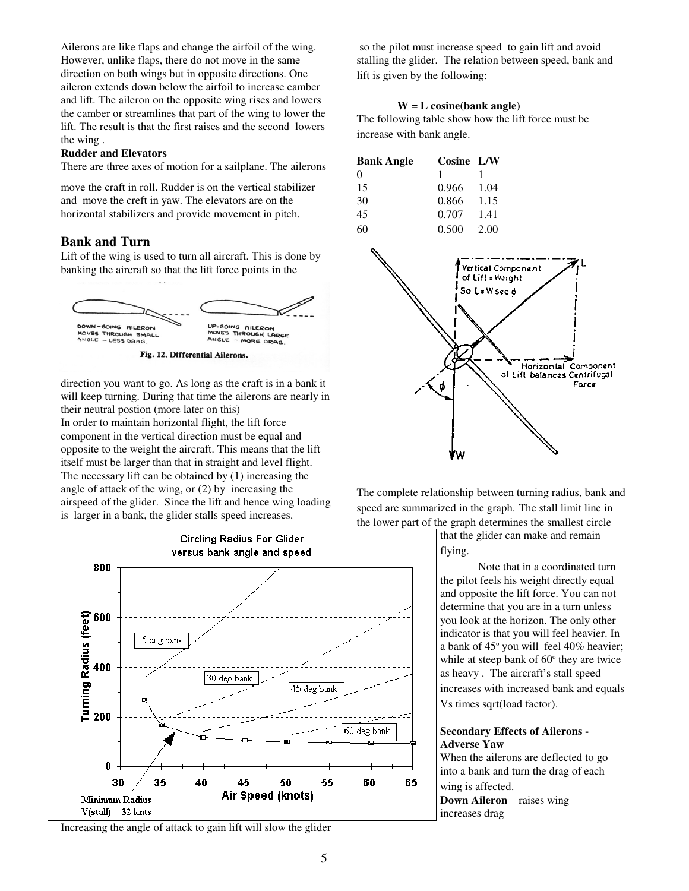Ailerons are like flaps and change the airfoil of the wing. However, unlike flaps, there do not move in the same direction on both wings but in opposite directions. One aileron extends down below the airfoil to increase camber and lift. The aileron on the opposite wing rises and lowers the camber or streamlines that part of the wing to lower the lift. The result is that the first raises and the second lowers the wing .

#### **Rudder and Elevators**

There are three axes of motion for a sailplane. The ailerons

move the craft in roll. Rudder is on the vertical stabilizer and move the creft in yaw. The elevators are on the horizontal stabilizers and provide movement in pitch.

### **Bank and Turn**

Lift of the wing is used to turn all aircraft. This is done by banking the aircraft so that the lift force points in the



direction you want to go. As long as the craft is in a bank it will keep turning. During that time the ailerons are nearly in their neutral postion (more later on this) In order to maintain horizontal flight, the lift force component in the vertical direction must be equal and opposite to the weight the aircraft. This means that the lift itself must be larger than that in straight and level flight. The necessary lift can be obtained by (1) increasing the angle of attack of the wing, or (2) by increasing the airspeed of the glider. Since the lift and hence wing loading

is larger in a bank, the glider stalls speed increases.



Increasing the angle of attack to gain lift will slow the glider

so the pilot must increase speed to gain lift and avoid stalling the glider. The relation between speed, bank and lift is given by the following:

### **W = L cosine(bank angle)**

The following table show how the lift force must be increase with bank angle.

| <b>Bank Angle</b> | Cosine L/W |        |
|-------------------|------------|--------|
| $\Omega$          |            |        |
| 15                | 0.966      | - 1.04 |
| 30                | 0.866      | 1.15   |
| 45                | 0.707      | -1.41  |
| 60                | 0.500      | 2.00   |



The complete relationship between turning radius, bank and speed are summarized in the graph. The stall limit line in the lower part of the graph determines the smallest circle

> that the glider can make and remain flying.

Note that in a coordinated turn the pilot feels his weight directly equal and opposite the lift force. You can not determine that you are in a turn unless you look at the horizon. The only other indicator is that you will feel heavier. In a bank of 45° you will feel 40% heavier; while at steep bank of 60° they are twice as heavy . The aircraft's stall speed increases with increased bank and equals Vs times sqrt(load factor).

### **Secondary Effects of Ailerons - Adverse Yaw**

When the ailerons are deflected to go into a bank and turn the drag of each wing is affected.

**Down Aileron** raises wing increases drag